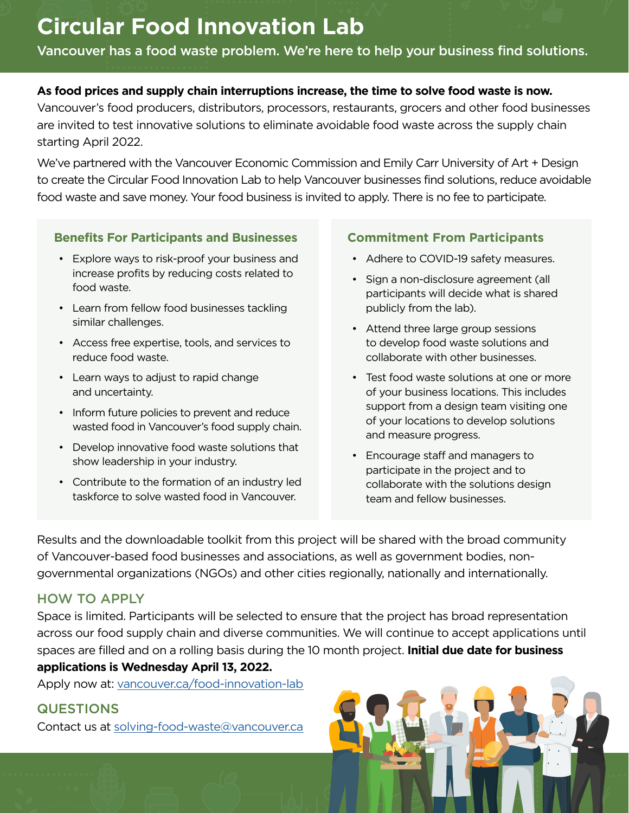# **Circular Food Innovation Lab**

Vancouver has a food waste problem. We're here to help your business find solutions.

#### **As food prices and supply chain interruptions increase, the time to solve food waste is now.**

Vancouver's food producers, distributors, processors, restaurants, grocers and other food businesses are invited to test innovative solutions to eliminate avoidable food waste across the supply chain starting April 2022.

We've partnered with the Vancouver Economic Commission and Emily Carr University of Art + Design to create the Circular Food Innovation Lab to help Vancouver businesses find solutions, reduce avoidable food waste and save money. Your food business is invited to apply. There is no fee to participate.

#### **Benefits For Participants and Businesses**

- Explore ways to risk-proof your business and increase profits by reducing costs related to food waste.
- Learn from fellow food businesses tackling similar challenges.
- Access free expertise, tools, and services to reduce food waste.
- Learn ways to adjust to rapid change and uncertainty.
- Inform future policies to prevent and reduce wasted food in Vancouver's food supply chain.
- Develop innovative food waste solutions that show leadership in your industry.
- Contribute to the formation of an industry led taskforce to solve wasted food in Vancouver.

### **Commitment From Participants**

- Adhere to COVID-19 safety measures.
- Sign a non-disclosure agreement (all participants will decide what is shared publicly from the lab).
- Attend three large group sessions to develop food waste solutions and collaborate with other businesses.
- Test food waste solutions at one or more of your business locations. This includes support from a design team visiting one of your locations to develop solutions and measure progress.
- Encourage staff and managers to participate in the project and to collaborate with the solutions design team and fellow businesses.

Results and the downloadable toolkit from this project will be shared with the broad community of Vancouver-based food businesses and associations, as well as government bodies, nongovernmental organizations (NGOs) and other cities regionally, nationally and internationally.

## HOW TO APPLY

Space is limited. Participants will be selected to ensure that the project has broad representation across our food supply chain and diverse communities. We will continue to accept applications until spaces are filled and on a rolling basis during the 10 month project. **Initial due date for business applications is Wednesday April 13, 2022.**

Apply now at: [vancouver.ca/food-innovation-lab](http://vancouver.ca/food-innovation-lab)

## **QUESTIONS**

Contact us at [solving-food-waste@vancouver.ca](mailto:solving-food-waste%40vancouver.ca?subject=)